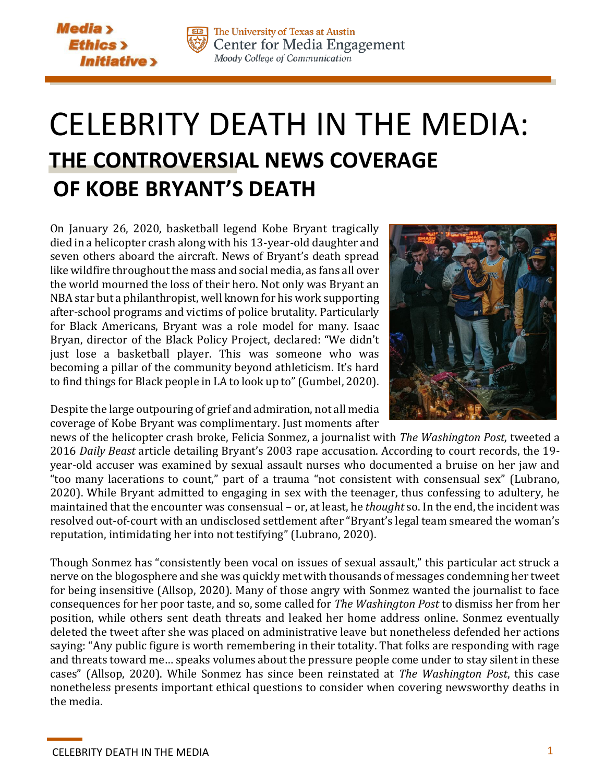



The University of Texas at Austin Center for Media Engagement Moody College of Communication

## CELEBRITY DEATH IN THE MEDIA: **THE CONTROVERSIAL NEWS COVERAGE OF KOBE BRYANT'S DEATH**

On January 26, 2020, basketball legend Kobe Bryant tragically died in a helicopter crash along with his 13-year-old daughter and seven others aboard the aircraft. News of Bryant's death spread like wildfire throughout the mass and social media, as fans all over the world mourned the loss of their hero. Not only was Bryant an NBA star but a philanthropist, well known for his work supporting after-school programs and victims of police brutality. Particularly for Black Americans, Bryant was a role model for many. Isaac Bryan, director of the Black Policy Project, declared: "We didn't just lose a basketball player. This was someone who was becoming a pillar of the community beyond athleticism. It's hard to find things for Black people in LA to look up to" (Gumbel, 2020).



Despite the large outpouring of grief and admiration, not all media coverage of Kobe Bryant was complimentary. Just moments after

news of the helicopter crash broke, Felicia Sonmez, a journalist with *The Washington Post*, tweeted a 2016 *Daily Beast* article detailing Bryant's 2003 rape accusation. According to court records, the 19 year-old accuser was examined by sexual assault nurses who documented a bruise on her jaw and "too many lacerations to count," part of a trauma "not consistent with consensual sex" (Lubrano, 2020). While Bryant admitted to engaging in sex with the teenager, thus confessing to adultery, he maintained that the encounter was consensual – or, at least, he *thought* so. In the end, the incident was resolved out-of-court with an undisclosed settlement after "Bryant's legal team smeared the woman's reputation, intimidating her into not testifying" (Lubrano, 2020).

Though Sonmez has "consistently been vocal on issues of sexual assault," this particular act struck a nerve on the blogosphere and she was quickly met with thousands of messages condemning her tweet for being insensitive (Allsop, 2020). Many of those angry with Sonmez wanted the journalist to face consequences for her poor taste, and so, some called for *The Washington Post* to dismiss her from her position, while others sent death threats and leaked her home address online. Sonmez eventually deleted the tweet after she was placed on administrative leave but nonetheless defended her actions saying: "Any public figure is worth remembering in their totality. That folks are responding with rage and threats toward me… speaks volumes about the pressure people come under to stay silent in these cases" (Allsop, 2020). While Sonmez has since been reinstated at *The Washington Post*, this case nonetheless presents important ethical questions to consider when covering newsworthy deaths in the media.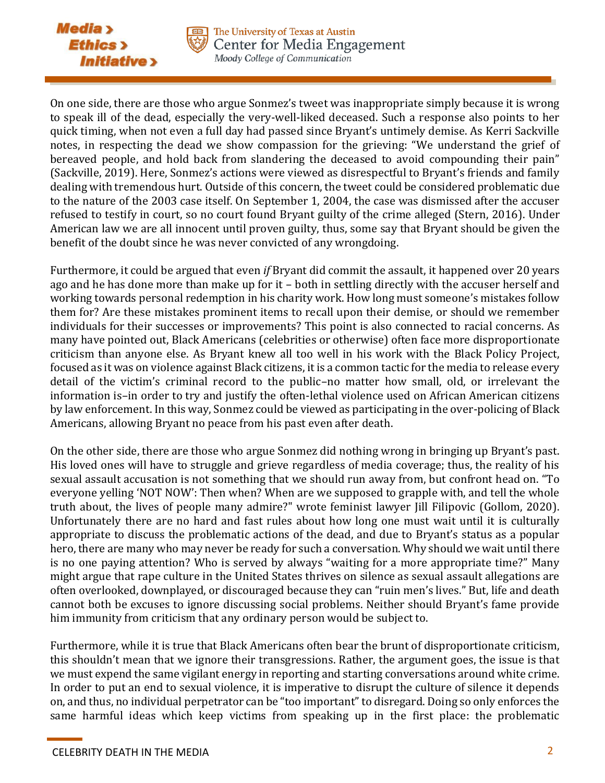



On one side, there are those who argue Sonmez's tweet was inappropriate simply because it is wrong to speak ill of the dead, especially the very-well-liked deceased. Such a response also points to her quick timing, when not even a full day had passed since Bryant's untimely demise. As Kerri Sackville notes, in respecting the dead we show compassion for the grieving: "We understand the grief of bereaved people, and hold back from slandering the deceased to avoid compounding their pain" (Sackville, 2019). Here, Sonmez's actions were viewed as disrespectful to Bryant's friends and family dealing with tremendous hurt. Outside of this concern, the tweet could be considered problematic due to the nature of the 2003 case itself. On September 1, 2004, the case was dismissed after the accuser refused to testify in court, so no court found Bryant guilty of the crime alleged (Stern, 2016). Under American law we are all innocent until proven guilty, thus, some say that Bryant should be given the benefit of the doubt since he was never convicted of any wrongdoing.

Furthermore, it could be argued that even *if* Bryant did commit the assault, it happened over 20 years ago and he has done more than make up for it – both in settling directly with the accuser herself and working towards personal redemption in his charity work. How long must someone's mistakes follow them for? Are these mistakes prominent items to recall upon their demise, or should we remember individuals for their successes or improvements? This point is also connected to racial concerns. As many have pointed out, Black Americans (celebrities or otherwise) often face more disproportionate criticism than anyone else. As Bryant knew all too well in his work with the Black Policy Project, focused as it was on violence against Black citizens, it is a common tactic for the media to release every detail of the victim's criminal record to the public–no matter how small, old, or irrelevant the information is–in order to try and justify the often-lethal violence used on African American citizens by law enforcement. In this way, Sonmez could be viewed as participating in the over-policing of Black Americans, allowing Bryant no peace from his past even after death.

On the other side, there are those who argue Sonmez did nothing wrong in bringing up Bryant's past. His loved ones will have to struggle and grieve regardless of media coverage; thus, the reality of his sexual assault accusation is not something that we should run away from, but confront head on. "To everyone yelling 'NOT NOW': Then when? When are we supposed to grapple with, and tell the whole truth about, the lives of people many admire?" wrote feminist lawyer Jill Filipovic (Gollom, 2020). Unfortunately there are no hard and fast rules about how long one must wait until it is culturally appropriate to discuss the problematic actions of the dead, and due to Bryant's status as a popular hero, there are many who may never be ready for such a conversation. Why should we wait until there is no one paying attention? Who is served by always "waiting for a more appropriate time?" Many might argue that rape culture in the United States thrives on silence as sexual assault allegations are often overlooked, downplayed, or discouraged because they can "ruin men's lives." But, life and death cannot both be excuses to ignore discussing social problems. Neither should Bryant's fame provide him immunity from criticism that any ordinary person would be subject to.

Furthermore, while it is true that Black Americans often bear the brunt of disproportionate criticism, this shouldn't mean that we ignore their transgressions. Rather, the argument goes, the issue is that we must expend the same vigilant energy in reporting and starting conversations around white crime. In order to put an end to sexual violence, it is imperative to disrupt the culture of silence it depends on, and thus, no individual perpetrator can be "too important" to disregard. Doing so only enforces the same harmful ideas which keep victims from speaking up in the first place: the problematic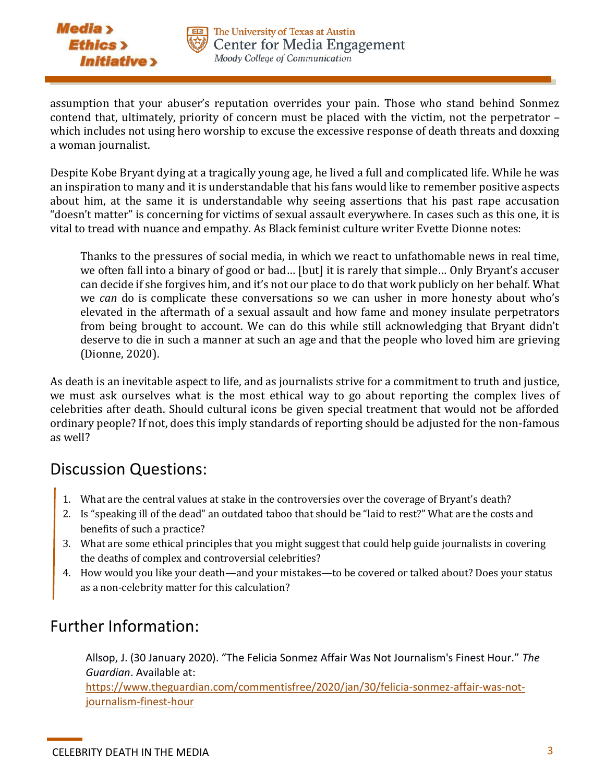



assumption that your abuser's reputation overrides your pain. Those who stand behind Sonmez contend that, ultimately, priority of concern must be placed with the victim, not the perpetrator – which includes not using hero worship to excuse the excessive response of death threats and doxxing a woman journalist.

Despite Kobe Bryant dying at a tragically young age, he lived a full and complicated life. While he was an inspiration to many and it is understandable that his fans would like to remember positive aspects about him, at the same it is understandable why seeing assertions that his past rape accusation "doesn't matter" is concerning for victims of sexual assault everywhere. In cases such as this one, it is vital to tread with nuance and empathy. As Black feminist culture writer Evette Dionne notes:

Thanks to the pressures of social media, in which we react to unfathomable news in real time, we often fall into a binary of good or bad… [but] it is rarely that simple… Only Bryant's accuser can decide if she forgives him, and it's not our place to do that work publicly on her behalf. What we *can* do is complicate these conversations so we can usher in more honesty about who's elevated in the aftermath of a sexual assault and how fame and money insulate perpetrators from being brought to account. We can do this while still acknowledging that Bryant didn't deserve to die in such a manner at such an age and that the people who loved him are grieving (Dionne, 2020).

As death is an inevitable aspect to life, and as journalists strive for a commitment to truth and justice, we must ask ourselves what is the most ethical way to go about reporting the complex lives of celebrities after death. Should cultural icons be given special treatment that would not be afforded ordinary people? If not, does this imply standards of reporting should be adjusted for the non-famous as well?

## Discussion Questions:

- 1. What are the central values at stake in the controversies over the coverage of Bryant's death?
- 2. Is "speaking ill of the dead" an outdated taboo that should be "laid to rest?" What are the costs and benefits of such a practice?
- 3. What are some ethical principles that you might suggest that could help guide journalists in covering the deaths of complex and controversial celebrities?
- 4. How would you like your death—and your mistakes—to be covered or talked about? Does your status as a non-celebrity matter for this calculation?

## Further Information:

Allsop, J. (30 January 2020). "The Felicia Sonmez Affair Was Not Journalism's Finest Hour." *The Guardian*. Available at:

[https://www.theguardian.com/commentisfree/2020/jan/30/felicia-sonmez-affair-was-not](https://www.theguardian.com/commentisfree/2020/jan/30/felicia-sonmez-affair-was-not-journalism-finest-hour)[journalism-finest-hour](https://www.theguardian.com/commentisfree/2020/jan/30/felicia-sonmez-affair-was-not-journalism-finest-hour)